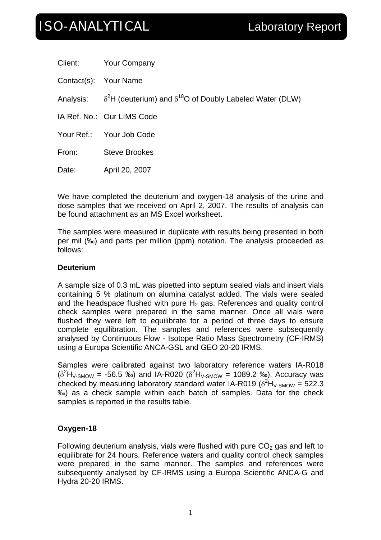# ISO-ANALYTICAL Laboratory Report

|                       | Client: Your Company                                                                 |
|-----------------------|--------------------------------------------------------------------------------------|
| Contact(s): Your Name |                                                                                      |
|                       | Analysis: $\delta^2$ H (deuterium) and $\delta^{18}$ O of Doubly Labeled Water (DLW) |
|                       | IA Ref. No.: Our LIMS Code                                                           |
|                       | Your Ref.: Your Job Code                                                             |
| From:                 | <b>Steve Brookes</b>                                                                 |
| Date:                 | April 20, 2007                                                                       |

We have completed the deuterium and oxygen-18 analysis of the urine and dose samples that we received on April 2, 2007. The results of analysis can be found attachment as an MS Excel worksheet.

The samples were measured in duplicate with results being presented in both per mil (‰) and parts per million (ppm) notation. The analysis proceeded as follows:

## **Deuterium**

A sample size of 0.3 mL was pipetted into septum sealed vials and insert vials containing 5 % platinum on alumina catalyst added. The vials were sealed and the headspace flushed with pure  $H_2$  gas. References and quality control check samples were prepared in the same manner. Once all vials were flushed they were left to equilibrate for a period of three days to ensure complete equilibration. The samples and references were subsequently analysed by Continuous Flow - Isotope Ratio Mass Spectrometry (CF-IRMS) using a Europa Scientific ANCA-GSL and GEO 20-20 IRMS.

Samples were calibrated against two laboratory reference waters IA-R018  $(\delta^2 H_{V-SMOW} = -56.5 \text{ %})$  and IA-R020  $(\delta^2 H_{V-SMOW} = 1089.2 \text{ %})$ . Accuracy was checked by measuring laboratory standard water IA-R019 ( $\delta^2$ H<sub>V-SMOW</sub> = 522.3 ‰) as a check sample within each batch of samples. Data for the check samples is reported in the results table.

# **Oxygen-18**

Following deuterium analysis, vials were flushed with pure  $CO<sub>2</sub>$  gas and left to equilibrate for 24 hours. Reference waters and quality control check samples were prepared in the same manner. The samples and references were subsequently analysed by CF-IRMS using a Europa Scientific ANCA-G and Hydra 20-20 IRMS.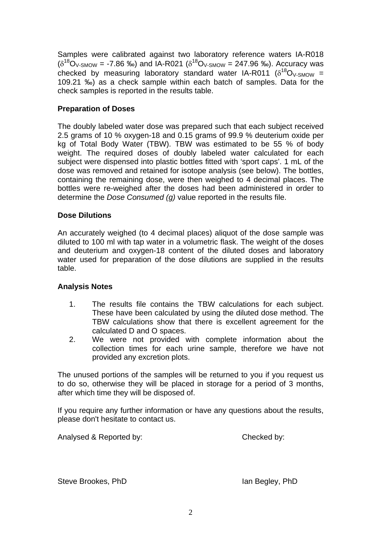Samples were calibrated against two laboratory reference waters IA-R018  $(δ<sup>18</sup>O<sub>V-SMOW</sub> = -7.86 %<sub>o</sub>)$  and IA-R021  $(δ<sup>18</sup>O<sub>V-SMOW</sub> = 247.96 %<sub>o</sub>)$ . Accuracy was checked by measuring laboratory standard water IA-R011 ( $\delta^{18}O_{V-SMOW}$  = 109.21 ‰) as a check sample within each batch of samples. Data for the check samples is reported in the results table.

## **Preparation of Doses**

The doubly labeled water dose was prepared such that each subject received 2.5 grams of 10 % oxygen-18 and 0.15 grams of 99.9 % deuterium oxide per kg of Total Body Water (TBW). TBW was estimated to be 55 % of body weight. The required doses of doubly labeled water calculated for each subject were dispensed into plastic bottles fitted with 'sport caps'. 1 mL of the dose was removed and retained for isotope analysis (see below). The bottles, containing the remaining dose, were then weighed to 4 decimal places. The bottles were re-weighed after the doses had been administered in order to determine the *Dose Consumed (g)* value reported in the results file.

### **Dose Dilutions**

An accurately weighed (to 4 decimal places) aliquot of the dose sample was diluted to 100 ml with tap water in a volumetric flask. The weight of the doses and deuterium and oxygen-18 content of the diluted doses and laboratory water used for preparation of the dose dilutions are supplied in the results table.

### **Analysis Notes**

- 1. The results file contains the TBW calculations for each subject. These have been calculated by using the diluted dose method. The TBW calculations show that there is excellent agreement for the calculated D and O spaces.
- 2. We were not provided with complete information about the collection times for each urine sample, therefore we have not provided any excretion plots.

The unused portions of the samples will be returned to you if you request us to do so, otherwise they will be placed in storage for a period of 3 months, after which time they will be disposed of.

If you require any further information or have any questions about the results, please don't hesitate to contact us.

Analysed & Reported by: Checked by:

Steve Brookes, PhD **Ian Begley, PhD**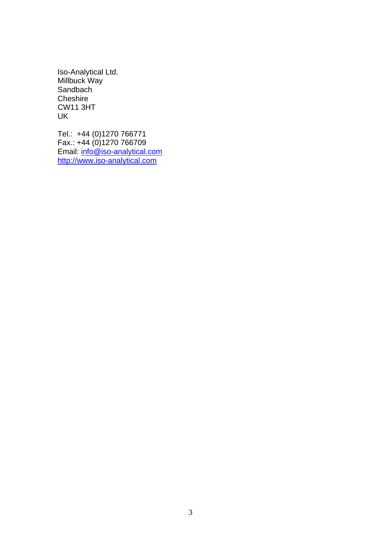Iso-Analytical Ltd. Millbuck Way Sandbach **Cheshire** CW11 3HT UK

Tel.: +44 (0)1270 766771 Fax.: +44 (0)1270 766709 Email: [info@iso-analytical.com](mailto:info@iso-analytical.com) [http://www.iso-analytical.com](http://www.iso-analytical.com/)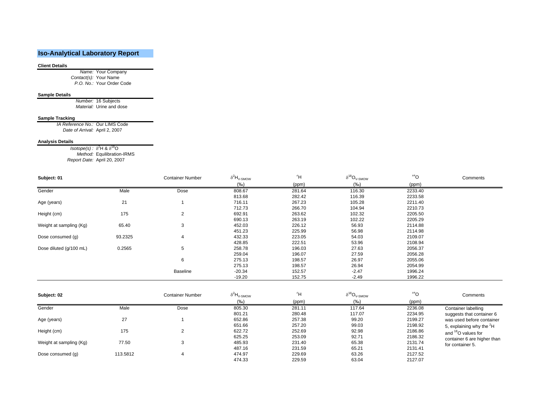### **Iso-Analytical Laboratory Report**

#### **Client Details**

*Name:* Your Company *Contact(s):* Your Name *P.O. No.:* Your Order Code

#### **Sample Details**

*Number:* 16 Subjects *Material:* Urine and dose

#### **Sample Tracking**

*IA Reference No.:* Our LIMS Code *Date of Arrival:* April 2, 2007

#### **Analysis Details**

*Isotope(s) : δ<sup>2</sup>H & δ<sup>18</sup>O<br><i>Method:* Equilibration-IRMS *Report Date:* April 20, 2007

| Subject: 01             |         | <b>Container Number</b> | $\delta^2H_{\rm V\text{-}SMOW}$ | 2H     | $\delta^{18}O_{\rm V\text{-}SMOW}$ | 18 <sub>O</sub> | Comments |
|-------------------------|---------|-------------------------|---------------------------------|--------|------------------------------------|-----------------|----------|
|                         |         |                         | $(\%o)$                         | (ppm)  | $(\%o)$                            | (ppm)           |          |
| Gender                  | Male    | Dose                    | 808.67                          | 281.64 | 116.30                             | 2233.40         |          |
|                         |         |                         | 813.68                          | 282.42 | 116.39                             | 2233.58         |          |
| Age (years)             | 21      |                         | 716.11                          | 267.23 | 105.28                             | 2211.40         |          |
|                         |         |                         | 712.73                          | 266.70 | 104.94                             | 2210.73         |          |
| Height (cm)             | 175     | 2                       | 692.91                          | 263.62 | 102.32                             | 2205.50         |          |
|                         |         |                         | 690.13                          | 263.19 | 102.22                             | 2205.29         |          |
| Weight at sampling (Kg) | 65.40   | 3                       | 452.03                          | 226.12 | 56.93                              | 2114.88         |          |
|                         |         |                         | 451.23                          | 225.99 | 56.98                              | 2114.98         |          |
| Dose consumed (g)       | 93.2325 | 4                       | 432.33                          | 223.05 | 54.03                              | 2109.07         |          |
|                         |         |                         | 428.85                          | 222.51 | 53.96                              | 2108.94         |          |
| Dose diluted (g/100 mL) | 0.2565  | 5                       | 258.78                          | 196.03 | 27.63                              | 2056.37         |          |
|                         |         |                         | 259.04                          | 196.07 | 27.59                              | 2056.28         |          |
|                         |         | 6                       | 275.13                          | 198.57 | 26.97                              | 2055.06         |          |
|                         |         |                         | 275.13                          | 198.57 | 26.94                              | 2054.99         |          |
|                         |         | <b>Baseline</b>         | $-20.34$                        | 152.57 | $-2.47$                            | 1996.24         |          |
|                         |         |                         | $-19.20$                        | 152.75 | $-2.49$                            | 1996.22         |          |

| Subject: 02             |          | <b>Container Number</b> | $\delta^2H_{\rm V\text{-}SMOW}$ | $\overline{H}^2$ | $\delta^{18}O_{V\text{-SMOW}}$ | 18 <sub>0</sub> | Comments                             |
|-------------------------|----------|-------------------------|---------------------------------|------------------|--------------------------------|-----------------|--------------------------------------|
|                         |          |                         | (%o)                            | (ppm)            | (‰)                            | (ppm)           |                                      |
| Gender                  | Male     | Dose                    | 805.30                          | 281.11           | 117.64                         | 2236.08         | Container labelling                  |
|                         |          |                         | 801.21                          | 280.48           | 117.07                         | 2234.95         | suggests that container 6            |
| Age (years)             | 27       |                         | 652.86                          | 257.38           | 99.20                          | 2199.27         | was used before container            |
|                         |          |                         | 651.66                          | 257.20           | 99.03                          | 2198.92         | 5, explaining why the <sup>2</sup> H |
| Height (cm)             | 175      |                         | 622.72                          | 252.69           | 92.98                          | 2186.86         | and <sup>18</sup> O values for       |
|                         |          |                         | 625.25                          | 253.09           | 92.71                          | 2186.32         | container 6 are higher than          |
| Weight at sampling (Kg) | 77.50    | ٠J                      | 485.93                          | 231.40           | 65.38                          | 2131.74         | for container 5.                     |
|                         |          |                         | 487.16                          | 231.59           | 65.21                          | 2131.41         |                                      |
| Dose consumed (q)       | 113.5812 |                         | 474.97                          | 229.69           | 63.26                          | 2127.52         |                                      |
|                         |          |                         | 474.33                          | 229.59           | 63.04                          | 2127.07         |                                      |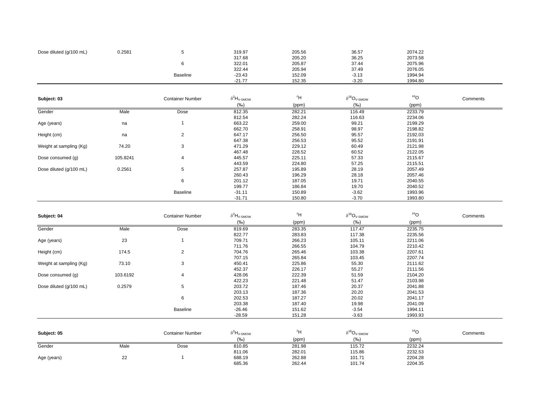| Dose diluted (g/100 mL) | 0.2581 |                 | 319.97   | 205.56 | 36.57   | 2074.22 |  |
|-------------------------|--------|-----------------|----------|--------|---------|---------|--|
|                         |        |                 | 317.68   | 205.20 | 36.25   | 2073.58 |  |
|                         |        |                 | 322.01   | 205.87 | 37.44   | 2075.96 |  |
|                         |        |                 | 322.44   | 205.94 | 37.49   | 2076.05 |  |
|                         |        | <b>Baseline</b> | $-23.43$ | 152.09 | $-3.13$ | 1994.94 |  |
|                         |        |                 | $-21.77$ | 152.35 | $-3.20$ | 1994.80 |  |
|                         |        |                 |          |        |         |         |  |

| Subject: 03             |          | <b>Container Number</b> | $\delta^2H_{\rm V\text{-}SMOW}$ | 2H     | $\delta^{18}O_{\rm V\text{-}SMOW}$ | 18 <sub>O</sub> | Comments |
|-------------------------|----------|-------------------------|---------------------------------|--------|------------------------------------|-----------------|----------|
|                         |          |                         | (%o)                            | (ppm)  | (%o)                               | (ppm)           |          |
| Gender                  | Male     | Dose                    | 812.35                          | 282.21 | 116.49                             | 2233.79         |          |
|                         |          |                         | 812.54                          | 282.24 | 116.63                             | 2234.06         |          |
| Age (years)             | na       |                         | 663.22                          | 259.00 | 99.21                              | 2199.29         |          |
|                         |          |                         | 662.70                          | 258.91 | 98.97                              | 2198.82         |          |
| Height (cm)             | na       | 2                       | 647.17                          | 256.50 | 95.57                              | 2192.03         |          |
|                         |          |                         | 647.38                          | 256.53 | 95.52                              | 2191.91         |          |
| Weight at sampling (Kg) | 74.20    | 3                       | 471.29                          | 229.12 | 60.49                              | 2121.98         |          |
|                         |          |                         | 467.48                          | 228.52 | 60.52                              | 2122.05         |          |
| Dose consumed (q)       | 105.8241 | 4                       | 445.57                          | 225.11 | 57.33                              | 2115.67         |          |
|                         |          |                         | 443.59                          | 224.80 | 57.25                              | 2115.51         |          |
| Dose diluted (g/100 mL) | 0.2561   | 5                       | 257.87                          | 195.89 | 28.19                              | 2057.49         |          |
|                         |          |                         | 260.43                          | 196.29 | 28.18                              | 2057.46         |          |
|                         |          | 6                       | 201.12                          | 187.05 | 19.71                              | 2040.55         |          |
|                         |          |                         | 199.77                          | 186.84 | 19.70                              | 2040.52         |          |
|                         |          | Baseline                | $-31.11$                        | 150.89 | $-3.62$                            | 1993.96         |          |
|                         |          |                         | $-31.71$                        | 150.80 | $-3.70$                            | 1993.80         |          |

| Subject: 04             |          | <b>Container Number</b> | $\delta^2H_{\rm V\text{-}SMOW}$ | $\overline{H}^2$ | $\delta^{18}O_{\rm V\text{-}SMOW}$ | 18 <sub>O</sub> | Comments |
|-------------------------|----------|-------------------------|---------------------------------|------------------|------------------------------------|-----------------|----------|
|                         |          |                         | (%o)                            | (ppm)            | $(\%o)$                            | (ppm)           |          |
| Gender                  | Male     | Dose                    | 819.69                          | 283.35           | 117.47                             | 2235.75         |          |
|                         |          |                         | 822.77                          | 283.83           | 117.38                             | 2235.56         |          |
| 23<br>Age (years)       |          |                         | 709.71                          | 266.23           | 105.11                             | 2211.06         |          |
|                         |          |                         | 711.76                          | 266.55           | 104.79                             | 2210.42         |          |
| Height (cm)             | 174.5    | 2                       | 704.76                          | 265.46           | 103.38                             | 2207.61         |          |
|                         |          |                         | 707.15                          | 265.84           | 103.45                             | 2207.74         |          |
| Weight at sampling (Kg) | 73.10    | 3                       | 450.41                          | 225.86           | 55.30                              | 2111.62         |          |
|                         |          |                         | 452.37                          | 226.17           | 55.27                              | 2111.56         |          |
| Dose consumed (g)       | 103.6192 | 4                       | 428.06                          | 222.39           | 51.59                              | 2104.20         |          |
|                         |          |                         | 422.23                          | 221.48           | 51.47                              | 2103.98         |          |
| Dose diluted (g/100 mL) | 0.2579   | 5                       | 203.72                          | 187.46           | 20.37                              | 2041.88         |          |
|                         |          |                         | 203.13                          | 187.36           | 20.20                              | 2041.53         |          |
|                         |          | 6                       | 202.53                          | 187.27           | 20.02                              | 2041.17         |          |
|                         |          |                         | 203.38                          | 187.40           | 19.98                              | 2041.09         |          |
|                         |          | Baseline                | $-26.46$                        | 151.62           | $-3.54$                            | 1994.11         |          |
|                         |          |                         | $-28.59$                        | 151.28           | $-3.63$                            | 1993.93         |          |

| Subject: 05 |          | <b>Container Number</b> | $\circ$ $n_{V-SMOW}$ | 41<br>. . | .18 <sub>r</sub><br>$U_{\text{V-SMOW}}$ | 18,     | Comments |
|-------------|----------|-------------------------|----------------------|-----------|-----------------------------------------|---------|----------|
|             |          |                         | $\frac{9}{60}$       | (ppm)     | (%o)                                    | (ppm)   |          |
| Gender      | Male     | Dose                    | 810.85               | 281.98    | 15.72                                   | 2232.24 |          |
|             |          |                         | 811.06               | 282.01    | 115.86                                  | 2232.53 |          |
| Age (years) | つつ<br>∠∠ |                         | 688.19               | 262.88    | 101.71                                  | 2204.28 |          |
|             |          |                         | 685.36               | 262.44    | 101.74                                  | 2204.35 |          |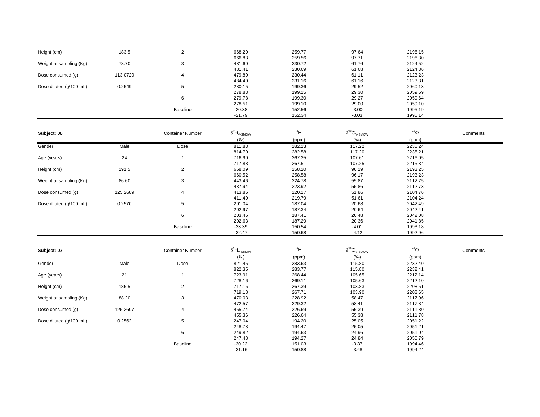| Height (cm)             | 183.5    | $\overline{2}$          | 668.20                      | 259.77           | 97.64                              | 2196.15            |          |
|-------------------------|----------|-------------------------|-----------------------------|------------------|------------------------------------|--------------------|----------|
|                         |          |                         | 666.83                      | 259.56           | 97.71                              | 2196.30            |          |
| Weight at sampling (Kg) | 78.70    | 3                       | 481.60                      | 230.72           | 61.76                              | 2124.52            |          |
|                         |          |                         | 481.41                      | 230.69           | 61.68                              | 2124.36            |          |
| Dose consumed (g)       | 113.0729 | $\overline{4}$          | 479.80                      | 230.44<br>231.16 | 61.11<br>61.16                     | 2123.23<br>2123.31 |          |
| Dose diluted (g/100 mL) | 0.2549   | 5                       | 484.40<br>280.15            | 199.36           | 29.52                              | 2060.13            |          |
|                         |          |                         | 278.83                      | 199.15           | 29.30                              | 2059.69            |          |
|                         |          | 6                       | 279.78                      | 199.30           | 29.27                              | 2059.64            |          |
|                         |          |                         | 278.51                      | 199.10           | 29.00                              | 2059.10            |          |
|                         |          | <b>Baseline</b>         | $-20.38$                    | 152.56           | $-3.00$                            | 1995.19            |          |
|                         |          |                         | $-21.79$                    | 152.34           | $-3.03$                            | 1995.14            |          |
|                         |          |                         |                             |                  |                                    |                    |          |
| Subject: 06             |          | <b>Container Number</b> | $\delta^2H_{V\text{-SMOW}}$ | $\overline{H}^2$ | $\delta^{18}O_{\rm V\text{-}SMOW}$ | 18 <sub>O</sub>    | Comments |
|                         |          |                         | $(\%o)$                     |                  | (%o)                               |                    |          |
| Gender                  | Male     |                         | 811.83                      | (ppm)            | 117.22                             | (ppm)<br>2235.24   |          |
|                         |          | Dose                    | 814.70                      | 282.13<br>282.58 | 117.20                             | 2235.21            |          |
|                         | 24       | $\mathbf{1}$            | 716.90                      | 267.35           | 107.61                             | 2216.05            |          |
| Age (years)             |          |                         | 717.88                      | 267.51           | 107.25                             | 2215.34            |          |
| Height (cm)             | 191.5    | 2                       | 658.09                      | 258.20           | 96.19                              | 2193.25            |          |
|                         |          |                         | 660.52                      | 258.58           | 96.17                              | 2193.23            |          |
| Weight at sampling (Kg) | 86.60    | 3                       | 443.46                      | 224.78           | 55.87                              | 2112.75            |          |
|                         |          |                         | 437.94                      | 223.92           | 55.86                              | 2112.73            |          |
| Dose consumed (g)       | 125.2689 | $\overline{4}$          | 413.85                      | 220.17           | 51.86                              | 2104.76            |          |
|                         |          |                         | 411.40                      | 219.79           | 51.61                              | 2104.24            |          |
| Dose diluted (g/100 mL) | 0.2570   | 5                       | 201.04                      | 187.04           | 20.68                              | 2042.49            |          |
|                         |          |                         | 202.97                      | 187.34           | 20.64                              | 2042.41            |          |
|                         |          | 6                       | 203.45                      | 187.41           | 20.48                              | 2042.08            |          |
|                         |          |                         | 202.63                      | 187.29           | 20.36                              | 2041.85            |          |
|                         |          | <b>Baseline</b>         | $-33.39$                    | 150.54           | $-4.01$                            | 1993.18            |          |
|                         |          |                         | $-32.47$                    | 150.68           | $-4.12$                            | 1992.96            |          |
|                         |          |                         |                             |                  |                                    |                    |          |
| Subject: 07             |          | <b>Container Number</b> | $\delta^2H_{V\text{-SMOW}}$ | $\rm ^2H$        | $\delta^{18}O_{\rm V\text{-}SMOW}$ | 18 <sub>O</sub>    | Comments |
|                         |          |                         | $(\%o)$                     | (ppm)            | $(\%o)$                            | (ppm)              |          |
| Gender                  | Male     | Dose                    | 821.45                      | 283.63           | 115.80                             | 2232.40            |          |
|                         |          |                         | 822.35                      | 283.77           | 115.80                             | 2232.41            |          |
| Age (years)             | 21       | $\mathbf{1}$            | 723.91                      | 268.44           | 105.65                             | 2212.14            |          |
|                         |          |                         | 728.16                      | 269.11           | 105.63                             | 2212.10            |          |
| Height (cm)             | 185.5    | $\overline{2}$          | 717.16                      | 267.39           | 103.83                             | 2208.51            |          |
|                         |          |                         | 719.18                      | 267.71           | 103.90                             | 2208.65            |          |
| Weight at sampling (Kg) | 88.20    | 3                       | 470.03                      | 228.92           | 58.47                              | 2117.96            |          |
|                         |          |                         | 472.57                      | 229.32           | 58.41                              | 2117.84            |          |
| Dose consumed (g)       | 125.2607 | $\overline{4}$          | 455.74                      | 226.69           | 55.39                              | 2111.80            |          |
|                         |          |                         | 455.36                      | 226.64           | 55.38                              | 2111.78            |          |
| Dose diluted (g/100 mL) | 0.2562   | 5                       | 247.04                      | 194.20           | 25.05                              | 2051.22            |          |
|                         |          |                         | 248.78                      | 194.47           | 25.05                              | 2051.21            |          |
|                         |          | 6                       | 249.82                      | 194.63           | 24.96                              | 2051.04            |          |
|                         |          |                         | 247.48                      | 194.27           | 24.84                              | 2050.79            |          |
|                         |          | <b>Baseline</b>         | $-30.22$                    | 151.03           | $-3.37$                            | 1994.46            |          |
|                         |          |                         | $-31.16$                    | 150.88           | $-3.48$                            | 1994.24            |          |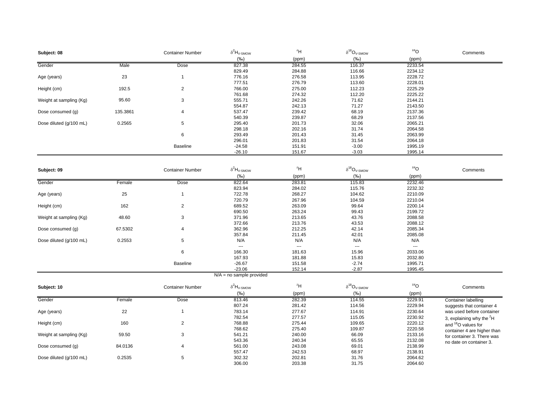| Subject: 08             |          | <b>Container Number</b> | $\delta^2 H_{\textrm{V-SMOW}}$ | 2H                       | $\delta^{18}\text{O}_{\text{V-SMOW}}$ | 18 <sub>O</sub>    | Comments                        |
|-------------------------|----------|-------------------------|--------------------------------|--------------------------|---------------------------------------|--------------------|---------------------------------|
|                         |          |                         | (%o)                           | (ppm)                    | (%o)                                  | (ppm)              |                                 |
| Gender                  | Male     | Dose                    | 827.38                         | 284.55                   | 116.37                                | 2233.54            |                                 |
|                         |          |                         | 829.49                         | 284.88                   | 116.66                                | 2234.12            |                                 |
| Age (years)             | 23       | $\mathbf{1}$            | 776.16                         | 276.58                   | 113.95                                | 2228.72            |                                 |
|                         | 192.5    | 2                       | 777.51<br>766.00               | 276.79<br>275.00         | 113.60<br>112.23                      | 2228.01<br>2225.29 |                                 |
| Height (cm)             |          |                         | 761.68                         | 274.32                   | 112.20                                | 2225.22            |                                 |
| Weight at sampling (Kg) | 95.60    | 3                       | 555.71                         | 242.26                   | 71.62                                 | 2144.21            |                                 |
|                         |          |                         | 554.87                         | 242.13                   | 71.27                                 | 2143.50            |                                 |
| Dose consumed (g)       | 135.3861 | $\overline{4}$          | 537.47                         | 239.42                   | 68.19                                 | 2137.36            |                                 |
|                         |          |                         | 540.39                         | 239.87                   | 68.29                                 | 2137.56            |                                 |
| Dose diluted (g/100 mL) | 0.2565   | 5                       | 295.40                         | 201.73                   | 32.06                                 | 2065.21            |                                 |
|                         |          |                         | 298.18                         | 202.16                   | 31.74                                 | 2064.58            |                                 |
|                         |          | 6                       | 293.49                         | 201.43                   | 31.45                                 | 2063.99            |                                 |
|                         |          |                         | 296.01                         | 201.83                   | 31.54                                 | 2064.18            |                                 |
|                         |          | <b>Baseline</b>         | $-24.58$                       | 151.91                   | $-3.00$                               | 1995.19            |                                 |
|                         |          |                         | $-26.10$                       | 151.67                   | $-3.03$                               | 1995.14            |                                 |
|                         |          |                         |                                |                          |                                       |                    |                                 |
|                         |          | <b>Container Number</b> | $\delta^2H_{V\text{-SMOW}}$    | 2H                       | $\delta^{18}O_{V\text{-SMOW}}$        | 18 <sub>O</sub>    | Comments                        |
| Subject: 09             |          |                         |                                |                          | $(\%o)$                               |                    |                                 |
| Gender                  |          | Dose                    | (%o)<br>822.64                 | (ppm)<br>283.81          |                                       | (ppm)<br>2232.46   |                                 |
|                         | Female   |                         | 823.94                         | 284.02                   | 115.83<br>115.76                      | 2232.32            |                                 |
| Age (years)             | 25       | $\mathbf{1}$            | 722.78                         | 268.27                   | 104.62                                | 2210.09            |                                 |
|                         |          |                         | 720.79                         | 267.96                   | 104.59                                | 2210.04            |                                 |
| Height (cm)             | 162      | 2                       | 689.52                         | 263.09                   | 99.64                                 | 2200.14            |                                 |
|                         |          |                         | 690.50                         | 263.24                   | 99.43                                 | 2199.72            |                                 |
| Weight at sampling (Kg) | 48.60    | 3                       | 371.96                         | 213.65                   | 43.76                                 | 2088.58            |                                 |
|                         |          |                         | 372.66                         | 213.76                   | 43.53                                 | 2088.12            |                                 |
| Dose consumed (g)       | 67.5302  | 4                       | 362.96                         | 212.25                   | 42.14                                 | 2085.34            |                                 |
|                         |          |                         | 357.84                         | 211.45                   | 42.01                                 | 2085.08            |                                 |
| Dose diluted (g/100 mL) | 0.2553   | 5                       | N/A                            | N/A                      | N/A                                   | N/A                |                                 |
|                         |          |                         | $\overline{\phantom{a}}$       | $\overline{\phantom{a}}$ | $\sim$ $\sim$                         | $\cdots$           |                                 |
|                         |          | 6                       | 166.30                         | 181.63                   | 15.96                                 | 2033.06            |                                 |
|                         |          |                         | 167.93                         | 181.88                   | 15.83                                 | 2032.80            |                                 |
|                         |          | <b>Baseline</b>         | $-26.67$                       | 151.58                   | $-2.74$                               | 1995.71            |                                 |
|                         |          |                         | $-23.06$                       | 152.14                   | $-2.87$                               | 1995.45            |                                 |
|                         |          |                         | $N/A = no$ sample provided     |                          |                                       |                    |                                 |
| Subject: 10             |          | <b>Container Number</b> | $\delta^2H_{V\text{-SMOW}}$    | $\overline{P}^2$ H       | $\delta^{18}O_{\rm V\text{-}SMOW}$    | 18 <sub>O</sub>    | Comments                        |
|                         |          |                         | $(\%o)$                        | (ppm)                    | $(\%o)$                               | (ppm)              |                                 |
| Gender                  | Female   | Dose                    | 813.46                         | 282.39                   | 114.55                                | 2229.91            | Container labelling             |
|                         |          |                         | 807.24                         | 281.42                   | 114.56                                | 2229.94            | suggests that container 4       |
| Age (years)             | 22       | $\mathbf{1}$            | 783.14                         | 277.67                   | 114.91                                | 2230.64            | was used before container       |
|                         |          |                         | 782.54                         | 277.57                   | 115.05                                | 2230.92            | 3, explaining why the ${}^{2}H$ |
| Height (cm)             | 160      | 2                       | 768.88                         | 275.44                   | 109.65                                | 2220.12            | and <sup>18</sup> O values for  |
|                         |          |                         | 768.62                         | 275.40                   | 109.87                                | 2220.58            | container 4 are higher than     |
| Weight at sampling (Kg) | 59.50    | 3                       | 541.21                         | 240.00                   | 66.09                                 | 2133.16            | for container 3. There was      |
|                         |          |                         | 543.36                         | 240.34                   | 65.55                                 | 2132.08            | no date on container 3.         |
| Dose consumed (g)       | 84.0136  | 4                       | 561.00                         | 243.08                   | 69.01                                 | 2138.99            |                                 |
|                         |          |                         | 557.47                         | 242.53                   | 68.97                                 | 2138.91            |                                 |
| Dose diluted (g/100 mL) | 0.2535   | $\,$ 5 $\,$             | 302.32                         | 202.81                   | 31.76                                 | 2064.62            |                                 |
|                         |          |                         | 306.00                         | 203.38                   | 31.75                                 | 2064.60            |                                 |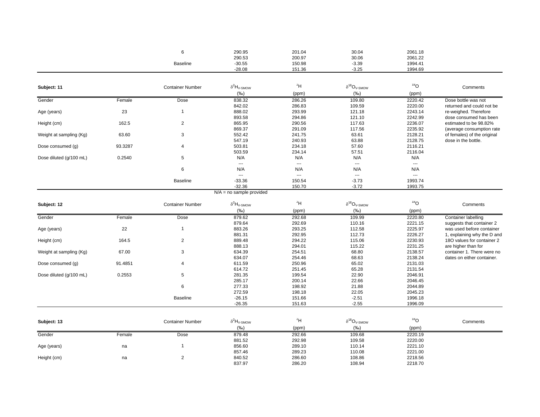|                 | 290.95<br>. | 201.04 | 30.04   | 2061.18 |
|-----------------|-------------|--------|---------|---------|
|                 | 290.53      | 200.97 | 30.06   | 2061.22 |
| <b>Baseline</b> | $-30.55$    | 150.98 | $-3.39$ | 1994.41 |
|                 | $-28.08$    | 151.36 | $-3.25$ | 1994.69 |

| Subject: 11             |         | <b>Container Number</b> | $\delta^2 H_{\textrm{V-SMOW}}$  | 2H             | $\delta^{18}O_{\rm V\text{-}SMOW}$ | 18 <sub>O</sub> | Comments                    |
|-------------------------|---------|-------------------------|---------------------------------|----------------|------------------------------------|-----------------|-----------------------------|
|                         |         |                         | (%o)                            | (ppm)          | (%o)                               | (ppm)           |                             |
| Gender                  | Female  | Dose                    | 838.32                          | 286.26         | 109.80                             | 2220.42         | Dose bottle was not         |
|                         |         |                         | 842.02                          | 286.83         | 109.59                             | 2220.00         | returned and could not be   |
| Age (years)             | 23      | $\overline{1}$          | 888.02                          | 293.99         | 121.18                             | 2243.14         | re-weighed. Therefore       |
|                         |         |                         | 893.58                          | 294.86         | 121.10                             | 2242.99         | dose consumed has been      |
| Height (cm)             | 162.5   | $\overline{c}$          | 865.95                          | 290.56         | 117.63                             | 2236.07         | estimated to be 98.82%      |
|                         |         |                         | 869.37                          | 291.09         | 117.56                             | 2235.92         | (average consumption rate   |
| Weight at sampling (Kg) | 63.60   | 3                       | 552.42                          | 241.75         | 63.61                              | 2128.21         | of females) of the original |
|                         |         |                         | 547.19                          | 240.93         | 63.88                              | 2128.75         | dose in the bottle.         |
| Dose consumed (g)       | 93.3287 | 4                       | 503.81                          | 234.18         | 57.60                              | 2116.21         |                             |
|                         |         |                         | 503.59                          | 234.14         | 57.51                              | 2116.04         |                             |
| Dose diluted (g/100 mL) | 0.2540  | 5                       | N/A                             | N/A            | N/A                                | N/A             |                             |
|                         |         |                         | $\overline{\phantom{a}}$        | ---            | ---                                | ---             |                             |
|                         |         | 6                       | N/A                             | N/A            | N/A                                | N/A             |                             |
|                         |         |                         | $\sim$                          | $\overline{a}$ | $\sim$ $\sim$                      |                 |                             |
|                         |         | <b>Baseline</b>         | $-33.36$                        | 150.54         | $-3.73$                            | 1993.74         |                             |
|                         |         |                         | $-32.36$                        | 150.70         | $-3.72$                            | 1993.75         |                             |
|                         |         |                         | $N/A$ = no sample provided      |                |                                    |                 |                             |
| Subject: 12             |         | <b>Container Number</b> | $\delta^2H_{\rm V\text{-}SMOW}$ | 2H             | $\delta^{18}O_{\rm V\text{-}SMOW}$ | 18 <sub>O</sub> | Comments                    |
|                         |         |                         | (%o)                            | (ppm)          | $(\%o)$                            | (ppm)           |                             |
| Gender                  | Female  | Dose                    | 879.62                          | 292.68         | 109.99                             | 2220.80         | <b>Container labelling</b>  |
|                         |         |                         | 879.64                          | 292.69         | 110.16                             | 2221.15         | suggests that container 2   |
| Age (years)             | 22      | $\overline{1}$          | 883.26                          | 293.25         | 112.58                             | 2225.97         | was used before container   |
|                         |         |                         | 881.31                          | 292.95         | 112.73                             | 2226.27         | 1, explaining why the D and |
| Height (cm)             | 164.5   | $\overline{c}$          | 889.48                          | 294.22         | 115.06                             | 2230.93         | 18O values for container 2  |
|                         |         |                         | 888.13                          | 294.01         | 115.22                             | 2231.25         | are higher than for         |
| Weight at sampling (Kg) | 67.00   | 3                       | 634.39                          | 254.51         | 68.80                              | 2138.57         | container 1. There were no  |
|                         |         |                         | 634.07                          | 254.46         | 68.63                              | 2138.24         | dates on either container.  |
| Dose consumed (g)       | 91.4851 | 4                       | 611.59                          | 250.96         | 65.02                              | 2131.03         |                             |
|                         |         |                         | 614.72                          | 251.45         | 65.28                              | 2131.54         |                             |
| Dose diluted (g/100 mL) | 0.2553  | 5                       | 281.35                          | 199.54         | 22.90                              | 2046.91         |                             |
|                         |         |                         | 285.17                          | 200.14         | 22.66                              | 2046.45         |                             |
|                         |         | 6                       | 277.33                          | 198.92         | 21.88                              | 2044.89         |                             |
|                         |         |                         | 272.59                          | 198.18         | 22.05                              | 2045.23         |                             |
|                         |         | <b>Baseline</b>         | $-26.15$                        | 151.66         | $-2.51$                            | 1996.18         |                             |
|                         |         |                         | $-26.35$                        | 151.63         | $-2.55$                            | 1996.09         |                             |
|                         |         |                         |                                 |                |                                    |                 |                             |
| Subject: 13             |         | <b>Container Number</b> | $\delta^2 H_{\textrm{V-SMOW}}$  | 2H             | $\delta^{18}O_{\rm V\text{-}SMOW}$ | 18 <sub>O</sub> | Comments                    |
|                         |         |                         | (%o)                            | (ppm)          | $(\%o)$                            | (ppm)           |                             |
| Gender                  | Female  | Dose                    | 879.48                          | 292.66         | 109.68                             | 2220.19         |                             |
|                         |         |                         | 881.52                          | 292.98         | 109.58                             | 2220.00         |                             |
| Age (years)             | na      | 1                       | 856.60                          | 289.10         | 110.14                             | 2221.10         |                             |

857.46 289.23 110.08 2221.00

837.97 286.20 108.94 2218.70

2221.00<br>2218.56

2218.70

Height (cm) na 2 840.52 286.60 108.86 2218.56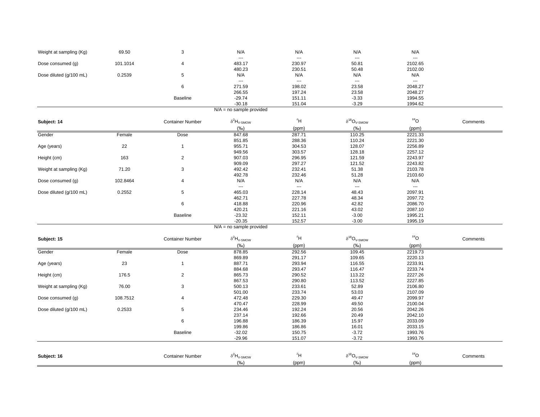| Weight at sampling (Kg) | 69.50    |                 | N/A            | N/A                | N/A              | N/A             |  |
|-------------------------|----------|-----------------|----------------|--------------------|------------------|-----------------|--|
| Dose consumed (g)       | 101.1014 |                 | $--$<br>483.17 | $\cdots$<br>230.97 | $- - -$<br>50.81 | $--$<br>2102.65 |  |
|                         |          |                 | 480.23         | 230.51             | 50.48            | 2102.00         |  |
| Dose diluted (g/100 mL) | 0.2539   |                 | N/A            | N/A                | N/A              | N/A             |  |
|                         |          |                 | $---$          | $---$              | $- - -$          | $- - -$         |  |
|                         |          |                 | 271.59         | 198.02             | 23.58            | 2048.27         |  |
|                         |          |                 | 266.55         | 197.24             | 23.58            | 2048.27         |  |
|                         |          | <b>Baseline</b> | $-29.74$       | 151.11             | $-3.33$          | 1994.55         |  |
|                         |          |                 | $-30.18$       | 151.04             | $-3.29$          | 1994.62         |  |

N/A = no sample provided

| Subject: 14             |          | <b>Container Number</b> | $\delta^2 H_{\rm V\text{-}SMOW}$ | $\overline{H}^2$         | $\delta^{18}O_{\rm V\text{-}SMOW}$        | $^{18}O$        | Comments |
|-------------------------|----------|-------------------------|----------------------------------|--------------------------|-------------------------------------------|-----------------|----------|
|                         |          |                         | (%o)                             | (ppm)                    | $(\%o)$                                   | (ppm)           |          |
| Gender                  | Female   | Dose                    | 847.68                           | 287.71                   | 110.25                                    | 2221.33         |          |
|                         |          |                         | 851.85                           | 288.36                   | 110.24                                    | 2221.30         |          |
| Age (years)             | 22       | $\mathbf{1}$            | 955.71                           | 304.53                   | 128.07                                    | 2256.89         |          |
|                         |          |                         | 949.56                           | 303.57                   | 128.18                                    | 2257.12         |          |
| Height (cm)             | 163      | $\mathbf{2}$            | 907.03                           | 296.95                   | 121.59                                    | 2243.97         |          |
|                         |          |                         | 909.09                           | 297.27                   | 121.52                                    | 2243.82         |          |
| Weight at sampling (Kg) | 71.20    | 3                       | 492.42                           | 232.41                   | 51.38                                     | 2103.78         |          |
|                         |          |                         | 492.78                           | 232.46                   | 51.28                                     | 2103.60         |          |
| Dose consumed (g)       | 102.8464 | 4                       | N/A                              | N/A                      | N/A                                       | N/A             |          |
|                         |          |                         |                                  | $\overline{\phantom{a}}$ | $\overline{\phantom{a}}$                  | ---             |          |
| Dose diluted (g/100 mL) | 0.2552   | 5                       | 465.03                           | 228.14                   | 48.43                                     | 2097.91         |          |
|                         |          |                         | 462.71                           | 227.78                   | 48.34                                     | 2097.72         |          |
|                         |          | 6                       | 418.88                           | 220.96                   | 42.82                                     | 2086.70         |          |
|                         |          |                         | 420.21                           | 221.16                   | 43.02                                     | 2087.10         |          |
|                         |          | <b>Baseline</b>         | $-23.32$                         | 152.11                   | $-3.00$                                   | 1995.21         |          |
|                         |          |                         | $-20.35$                         | 152.57                   | $-3.00$                                   | 1995.19         |          |
|                         |          |                         | $N/A$ = no sample provided       |                          |                                           |                 |          |
| Subject: 15             |          | <b>Container Number</b> | $\delta^2H_{V\text{-SMOW}}$      | $\overline{H}^2$         | $\delta^{18}O_{\textrm{V-SMOW}}$          | 18 <sub>O</sub> | Comments |
|                         |          |                         | $(\%o)$                          | (ppm)                    | (%o)                                      | (ppm)           |          |
| Gender                  | Female   | Dose                    | 878.85                           | 292.56                   | 109.45                                    | 2219.73         |          |
|                         |          |                         | 869.89                           | 291.17                   | 109.65                                    | 2220.13         |          |
| Age (years)             | 23       | $\mathbf{1}$            | 887.71                           | 293.94                   | 116.55                                    | 2233.91         |          |
|                         |          |                         | 884.68                           | 293.47                   | 116.47                                    | 2233.74         |          |
| Height (cm)             | 176.5    | $\overline{2}$          | 865.73                           | 290.52                   | 113.22                                    | 2227.26         |          |
|                         |          |                         | 867.53                           | 290.80                   | 113.52                                    | 2227.85         |          |
| Weight at sampling (Kg) | 76.00    | 3                       | 500.13                           | 233.61                   | 52.89                                     | 2106.80         |          |
|                         |          |                         | 501.00                           | 233.74                   | 53.03                                     | 2107.09         |          |
| Dose consumed (g)       | 108.7512 | 4                       | 472.48                           | 229.30                   | 49.47                                     | 2099.97         |          |
|                         |          |                         | 470.47                           | 228.99                   | 49.50                                     | 2100.04         |          |
| Dose diluted (g/100 mL) | 0.2533   | 5                       | 234.46                           | 192.24                   | 20.56                                     | 2042.26         |          |
|                         |          |                         | 237.14                           | 192.66                   | 20.49                                     | 2042.10         |          |
|                         |          | 6                       | 196.88                           | 186.39                   | 15.97                                     | 2033.09         |          |
|                         |          |                         | 199.86                           | 186.86                   | 16.01                                     | 2033.15         |          |
|                         |          | Baseline                | $-32.02$                         | 150.75                   | $-3.72$                                   | 1993.76         |          |
|                         |          |                         | $-29.96$                         | 151.07                   | $-3.72$                                   | 1993.76         |          |
|                         |          |                         |                                  |                          |                                           |                 |          |
| Subject: 16             |          | <b>Container Number</b> | $\delta^2H_{V-SMOW}$             | $\rm ^2H$                | $\delta^{18}\textsf{O}_{\textsf{V-SMOW}}$ | 18 <sub>O</sub> | Comments |
|                         |          |                         | (%o)                             | (ppm)                    | (%o)                                      | (ppm)           |          |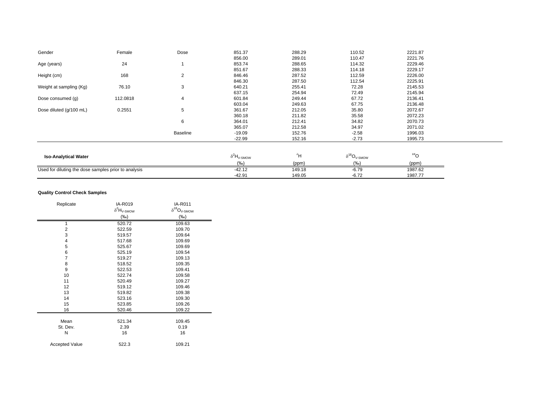| Gender                                               | Female   | Dose     | 851.37                          | 288.29 | 110.52                         | 2221.87         |  |
|------------------------------------------------------|----------|----------|---------------------------------|--------|--------------------------------|-----------------|--|
|                                                      |          |          | 856.00                          | 289.01 | 110.47                         | 2221.76         |  |
| Age (years)                                          | 24       |          | 853.74                          | 288.65 | 114.32                         | 2229.46         |  |
|                                                      |          |          | 851.67                          | 288.33 | 114.18                         | 2229.17         |  |
| Height (cm)                                          | 168      | 2        | 846.46                          | 287.52 | 112.59                         | 2226.00         |  |
|                                                      |          |          | 846.30                          | 287.50 | 112.54                         | 2225.91         |  |
| Weight at sampling (Kg)                              | 76.10    | 3        | 640.21                          | 255.41 | 72.28                          | 2145.53         |  |
|                                                      |          |          | 637.15                          | 254.94 | 72.49                          | 2145.94         |  |
| Dose consumed (g)                                    | 112.0818 | 4        | 601.84                          | 249.44 | 67.72                          | 2136.41         |  |
|                                                      |          |          | 603.04                          | 249.63 | 67.75                          | 2136.48         |  |
| Dose diluted (g/100 mL)                              | 0.2551   | 5        | 361.67                          | 212.05 | 35.80                          | 2072.67         |  |
|                                                      |          |          | 360.18                          | 211.82 | 35.58                          | 2072.23         |  |
|                                                      |          | 6        | 364.01                          | 212.41 | 34.82                          | 2070.73         |  |
|                                                      |          |          | 365.07                          | 212.58 | 34.97                          | 2071.02         |  |
|                                                      |          | Baseline | $-19.09$                        | 152.76 | $-2.58$                        | 1996.03         |  |
|                                                      |          |          | $-22.99$                        | 152.16 | $-2.73$                        | 1995.73         |  |
|                                                      |          |          |                                 |        |                                |                 |  |
| <b>Iso-Analytical Water</b>                          |          |          | $\delta^2H_{\rm V\text{-}SMOW}$ | 2H     | $\delta^{18}O_{V\text{-SMOW}}$ | 18 <sub>O</sub> |  |
|                                                      |          |          | (%o)                            | (ppm)  | (%o)                           | (ppm)           |  |
| Used for diluting the dose samples prior to analysis |          |          | $-42.12$                        | 149.18 | $-6.79$                        | 1987.62         |  |
|                                                      |          |          | $-42.91$                        | 149.05 | $-6.72$                        | 1987.77         |  |

### **Quality Control Check Samples**

| Replicate             | IA-R019                        | IA-R011                                   |
|-----------------------|--------------------------------|-------------------------------------------|
|                       | $\delta^2 H_{\textrm{V-SMOW}}$ | $\delta^{18}\!O_{\mathrm{V\text{-}SMOW}}$ |
|                       | $(\%o)$                        | $(\%o)$                                   |
|                       | 520.72                         | 109.63                                    |
| $\overline{2}$        | 522.59                         | 109.70                                    |
| 3                     | 519.57                         | 109.64                                    |
| 4                     | 517.68                         | 109.69                                    |
| 5                     | 525.67                         | 109.69                                    |
| 6                     | 525.19                         | 109.54                                    |
| $\overline{7}$        | 519.27                         | 109.13                                    |
| 8                     | 518.52                         | 109.35                                    |
| 9                     | 522.53                         | 109.41                                    |
| 10                    | 522.74                         | 109.58                                    |
| 11                    | 520.49                         | 109.27                                    |
| 12                    | 519.12                         | 109.46                                    |
| 13                    | 519.82                         | 109.38                                    |
| 14                    | 523.16                         | 109.30                                    |
| 15                    | 523.85                         | 109.26                                    |
| 16                    | 520.46                         | 109.22                                    |
| Mean                  | 521.34                         | 109.45                                    |
| St. Dev.              | 2.39                           | 0.19                                      |
| N                     | 16                             |                                           |
|                       |                                | 16                                        |
| <b>Accepted Value</b> | 522.3                          | 109.21                                    |